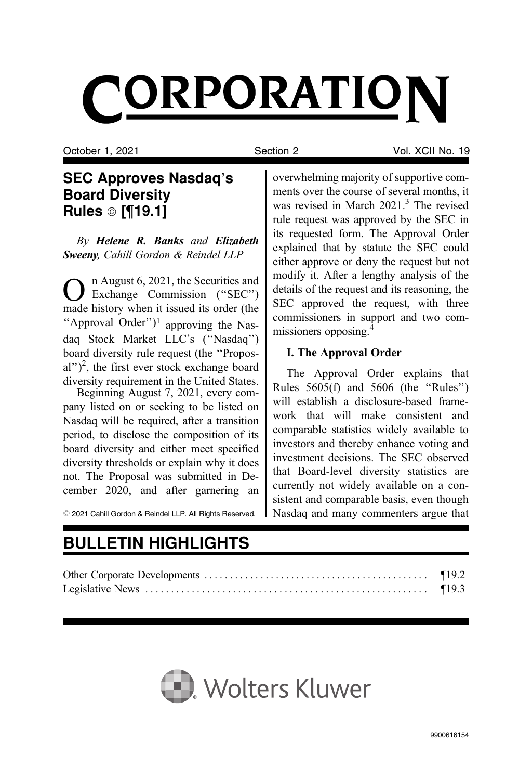# CORPORATION

October 1, 2021 Section 2 Vol. XCII No. 19

## SEC Approves Nasdaq's Board Diversity Rules © [¶19.1]

By Helene R. Banks and Elizabeth Sweeny, Cahill Gordon & Reindel LLP

n August 6, 2021, the Securities and Exchange Commission ("SEC") made history when it issued its order (the "Approval Order")<sup>1</sup> approving the Nasdaq Stock Market LLC's (''Nasdaq'') board diversity rule request (the ''Proposal")<sup>2</sup>, the first ever stock exchange board diversity requirement in the United States.

Beginning August 7, 2021, every company listed on or seeking to be listed on Nasdaq will be required, after a transition period, to disclose the composition of its board diversity and either meet specified diversity thresholds or explain why it does not. The Proposal was submitted in December 2020, and after garnering an

 $\oslash$  2021 Cahill Gordon & Reindel LLP. All Rights Reserved.

overwhelming majority of supportive comments over the course of several months, it was revised in March 2021.<sup>3</sup> The revised rule request was approved by the SEC in its requested form. The Approval Order explained that by statute the SEC could either approve or deny the request but not modify it. After a lengthy analysis of the details of the request and its reasoning, the SEC approved the request, with three commissioners in support and two commissioners opposing.4

## I. The Approval Order

The Approval Order explains that Rules 5605(f) and 5606 (the ''Rules'') will establish a disclosure-based framework that will make consistent and comparable statistics widely available to investors and thereby enhance voting and investment decisions. The SEC observed that Board-level diversity statistics are currently not widely available on a consistent and comparable basis, even though Nasdaq and many commenters argue that

# BULLETIN HIGHLIGHTS

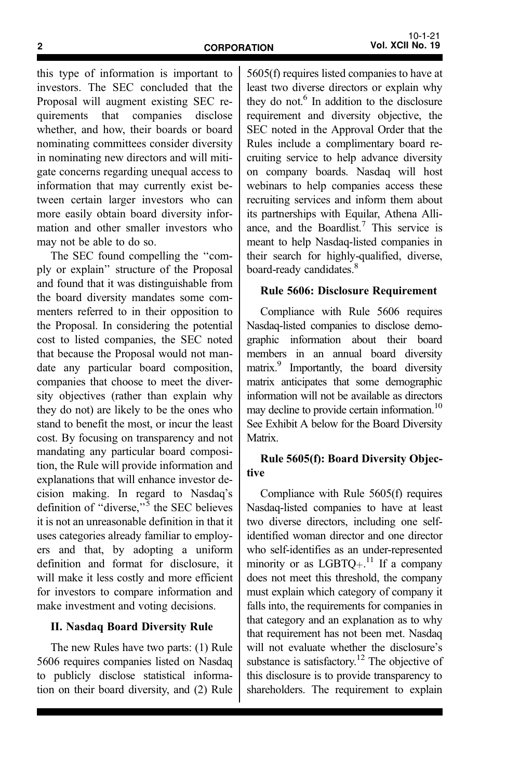this type of information is important to investors. The SEC concluded that the Proposal will augment existing SEC requirements that companies disclose whether, and how, their boards or board nominating committees consider diversity in nominating new directors and will mitigate concerns regarding unequal access to information that may currently exist between certain larger investors who can more easily obtain board diversity information and other smaller investors who may not be able to do so.

The SEC found compelling the ''comply or explain'' structure of the Proposal and found that it was distinguishable from the board diversity mandates some commenters referred to in their opposition to the Proposal. In considering the potential cost to listed companies, the SEC noted that because the Proposal would not mandate any particular board composition, companies that choose to meet the diversity objectives (rather than explain why they do not) are likely to be the ones who stand to benefit the most, or incur the least cost. By focusing on transparency and not mandating any particular board composition, the Rule will provide information and explanations that will enhance investor decision making. In regard to Nasdaq's definition of "diverse," $\frac{1}{5}$  the SEC believes it is not an unreasonable definition in that it uses categories already familiar to employers and that, by adopting a uniform definition and format for disclosure, it will make it less costly and more efficient for investors to compare information and make investment and voting decisions.

#### II. Nasdaq Board Diversity Rule

The new Rules have two parts: (1) Rule 5606 requires companies listed on Nasdaq to publicly disclose statistical information on their board diversity, and (2) Rule 5605(f) requires listed companies to have at least two diverse directors or explain why they do not. $6$  In addition to the disclosure requirement and diversity objective, the SEC noted in the Approval Order that the Rules include a complimentary board recruiting service to help advance diversity on company boards. Nasdaq will host webinars to help companies access these recruiting services and inform them about its partnerships with Equilar, Athena Alliance, and the Boardlist.<sup>7</sup> This service is meant to help Nasdaq-listed companies in their search for highly-qualified, diverse, board-ready candidates.<sup>8</sup>

#### Rule 5606: Disclosure Requirement

Compliance with Rule 5606 requires Nasdaq-listed companies to disclose demographic information about their board members in an annual board diversity matrix.9 Importantly, the board diversity matrix anticipates that some demographic information will not be available as directors may decline to provide certain information.<sup>10</sup> See Exhibit A below for the Board Diversity Matrix.

#### Rule 5605(f): Board Diversity Objective

Compliance with Rule 5605(f) requires Nasdaq-listed companies to have at least two diverse directors, including one selfidentified woman director and one director who self-identifies as an under-represented minority or as  $LGBTQ_{+}$ .<sup>11</sup> If a company does not meet this threshold, the company must explain which category of company it falls into, the requirements for companies in that category and an explanation as to why that requirement has not been met. Nasdaq will not evaluate whether the disclosure's substance is satisfactory.<sup>12</sup> The objective of this disclosure is to provide transparency to shareholders. The requirement to explain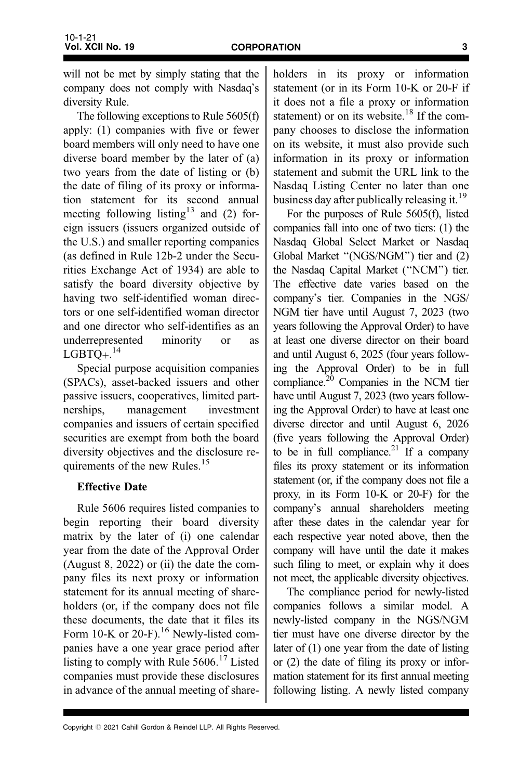will not be met by simply stating that the company does not comply with Nasdaq's diversity Rule.

The following exceptions to Rule 5605(f) apply: (1) companies with five or fewer board members will only need to have one diverse board member by the later of (a) two years from the date of listing or (b) the date of filing of its proxy or information statement for its second annual meeting following listing<sup>13</sup> and (2) foreign issuers (issuers organized outside of the U.S.) and smaller reporting companies (as defined in Rule 12b-2 under the Securities Exchange Act of 1934) are able to satisfy the board diversity objective by having two self-identified woman directors or one self-identified woman director and one director who self-identifies as an underrepresented minority or as  $LGBTQ+.$ <sup>14</sup>

Special purpose acquisition companies (SPACs), asset-backed issuers and other passive issuers, cooperatives, limited partnerships, management investment companies and issuers of certain specified securities are exempt from both the board diversity objectives and the disclosure requirements of the new Rules.<sup>15</sup>

### Effective Date

Rule 5606 requires listed companies to begin reporting their board diversity matrix by the later of (i) one calendar year from the date of the Approval Order (August 8, 2022) or (ii) the date the company files its next proxy or information statement for its annual meeting of shareholders (or, if the company does not file these documents, the date that it files its Form 10-K or 20-F).<sup>16</sup> Newly-listed companies have a one year grace period after listing to comply with Rule  $5606<sup>17</sup>$  Listed companies must provide these disclosures in advance of the annual meeting of shareholders in its proxy or information statement (or in its Form 10-K or 20-F if it does not a file a proxy or information statement) or on its website.<sup>18</sup> If the company chooses to disclose the information on its website, it must also provide such information in its proxy or information statement and submit the URL link to the Nasdaq Listing Center no later than one business day after publically releasing it.<sup>19</sup>

For the purposes of Rule 5605(f), listed companies fall into one of two tiers: (1) the Nasdaq Global Select Market or Nasdaq Global Market ''(NGS/NGM'') tier and (2) the Nasdaq Capital Market (''NCM'') tier. The effective date varies based on the company's tier. Companies in the NGS/ NGM tier have until August 7, 2023 (two years following the Approval Order) to have at least one diverse director on their board and until August 6, 2025 (four years following the Approval Order) to be in full compliance.<sup>20</sup> Companies in the NCM tier have until August 7, 2023 (two years following the Approval Order) to have at least one diverse director and until August 6, 2026 (five years following the Approval Order) to be in full compliance.<sup>21</sup> If a company files its proxy statement or its information statement (or, if the company does not file a proxy, in its Form 10-K or 20-F) for the company's annual shareholders meeting after these dates in the calendar year for each respective year noted above, then the company will have until the date it makes such filing to meet, or explain why it does not meet, the applicable diversity objectives.

The compliance period for newly-listed companies follows a similar model. A newly-listed company in the NGS/NGM tier must have one diverse director by the later of (1) one year from the date of listing or (2) the date of filing its proxy or information statement for its first annual meeting following listing. A newly listed company

Copyright @ 2021 Cahill Gordon & Reindel LLP. All Rights Reserved.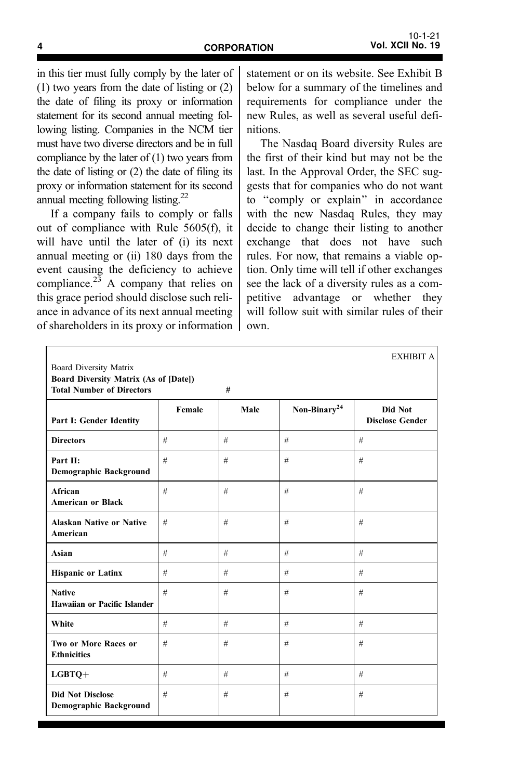in this tier must fully comply by the later of (1) two years from the date of listing or (2) the date of filing its proxy or information statement for its second annual meeting following listing. Companies in the NCM tier must have two diverse directors and be in full compliance by the later of (1) two years from the date of listing or (2) the date of filing its proxy or information statement for its second annual meeting following listing.<sup>22</sup>

If a company fails to comply or falls out of compliance with Rule 5605(f), it will have until the later of (i) its next annual meeting or (ii) 180 days from the event causing the deficiency to achieve compliance. $2^{2}$  A company that relies on this grace period should disclose such reliance in advance of its next annual meeting of shareholders in its proxy or information

statement or on its website. See Exhibit B below for a summary of the timelines and requirements for compliance under the new Rules, as well as several useful definitions.

The Nasdaq Board diversity Rules are the first of their kind but may not be the last. In the Approval Order, the SEC suggests that for companies who do not want to ''comply or explain'' in accordance with the new Nasdaq Rules, they may decide to change their listing to another exchange that does not have such rules. For now, that remains a viable option. Only time will tell if other exchanges see the lack of a diversity rules as a competitive advantage or whether they will follow suit with similar rules of their own.

|                                                                                                            |        |      |                          | <b>EXHIBIT A</b>                  |
|------------------------------------------------------------------------------------------------------------|--------|------|--------------------------|-----------------------------------|
| Board Diversity Matrix<br><b>Board Diversity Matrix (As of [Date])</b><br><b>Total Number of Directors</b> |        | #    |                          |                                   |
| Part I: Gender Identity                                                                                    | Female | Male | Non-Binary <sup>24</sup> | Did Not<br><b>Disclose Gender</b> |
| <b>Directors</b>                                                                                           | #      | #    | #                        | #                                 |
| Part II:<br>Demographic Background                                                                         | #      | #    | #                        | #                                 |
| African<br><b>American or Black</b>                                                                        | #      | #    | #                        | #                                 |
| <b>Alaskan Native or Native</b><br>American                                                                | #      | #    | #                        | #                                 |
| Asian                                                                                                      | #      | #    | #                        | #                                 |
| <b>Hispanic or Latinx</b>                                                                                  | #      | #    | #                        | #                                 |
| <b>Native</b><br>Hawaiian or Pacific Islander                                                              | #      | #    | #                        | #                                 |
| White                                                                                                      | #      | #    | #                        | #                                 |
| Two or More Races or<br><b>Ethnicities</b>                                                                 | #      | #    | #                        | #                                 |
| $LGBTO+$                                                                                                   | #      | #    | #                        | #                                 |
| <b>Did Not Disclose</b><br>Demographic Background                                                          | #      | #    | #                        | #                                 |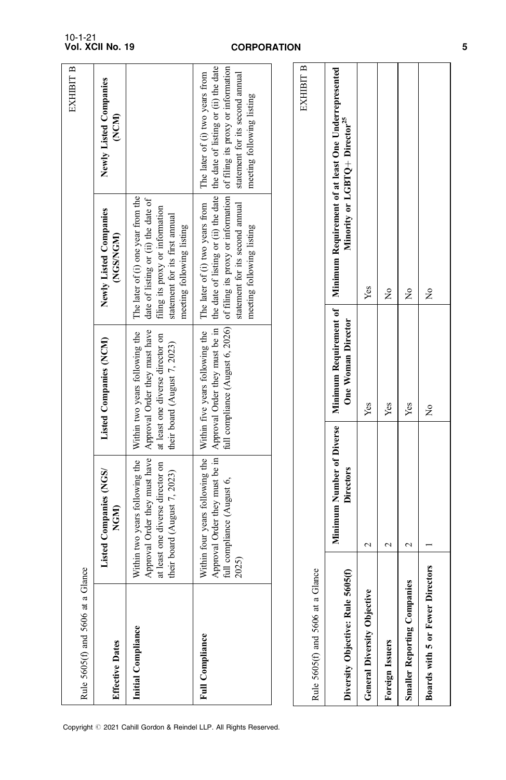| Rule 5605(f) and 5606 at a G       | lance                                                                                                                               |                                                                                                                                     |                                                                                                                                                                                                                                                      | EXHIBIT B                                                                                         |
|------------------------------------|-------------------------------------------------------------------------------------------------------------------------------------|-------------------------------------------------------------------------------------------------------------------------------------|------------------------------------------------------------------------------------------------------------------------------------------------------------------------------------------------------------------------------------------------------|---------------------------------------------------------------------------------------------------|
| Effective Dates                    | Listed Companies (NGS/<br>NGM)                                                                                                      | Listed Companies (NCM)                                                                                                              | Newly Listed Companies<br>(NGS/NGM)                                                                                                                                                                                                                  | Newly Listed Companies<br>(NCM)                                                                   |
| Initial Compliance                 | Approval Order they must have<br>Within two years following the<br>at least one diverse director on<br>their board (August 7, 2023) | Approval Order they must have<br>Within two years following the<br>at least one diverse director on<br>their board (August 7, 2023) | The later of (i) one year from the<br>date of listing or (ii) the date of<br>filing its proxy or information<br>statement for its first amual<br>meeting following listing                                                                           |                                                                                                   |
| Full Compliance                    | Approval Order they must be in<br>Within four years following the<br>full compliance (August 6,<br>2025)                            | full compliance (August 6, 2026)<br>Approval Order they must be in<br>Within five years following the                               | the date of listing or (ii) the date the date of listing or (ii) the date<br>of filing its proxy or information of filing its proxy or information<br>statement for its second amual<br>The later of (i) two years from<br>meeting following listing | statement for its second annual<br>The later of (i) two years from<br>meeting following listing   |
|                                    |                                                                                                                                     |                                                                                                                                     |                                                                                                                                                                                                                                                      |                                                                                                   |
| Rule 5605(f) and 5606 at a GI      | lance                                                                                                                               |                                                                                                                                     |                                                                                                                                                                                                                                                      | EXHIBIT B                                                                                         |
| Diversity Objective: Rule 560      | Minimum Number of Diverse<br><b>Directors</b><br>J5(f)                                                                              | Minimum Requirement of<br>One Woman Director                                                                                        |                                                                                                                                                                                                                                                      | Minimum Requirement of at least One Underrepresented<br>Minority or LGBTQ+ Director <sup>25</sup> |
| <b>General Diversity Objective</b> | $\mathbf 2$                                                                                                                         | Yes                                                                                                                                 | Yes                                                                                                                                                                                                                                                  |                                                                                                   |
| Foreign Issuers                    | $\mathbf{\sim}$                                                                                                                     | Yes                                                                                                                                 | Ş                                                                                                                                                                                                                                                    |                                                                                                   |
| <b>Smaller Reporting Companies</b> | $\sim$                                                                                                                              | Yes                                                                                                                                 | 2                                                                                                                                                                                                                                                    |                                                                                                   |
| Boards with 5 or Fewer Directors   |                                                                                                                                     | $\tilde{z}$                                                                                                                         | ż                                                                                                                                                                                                                                                    |                                                                                                   |

Copyright © 2021 Cahill Gordon & Reindel LLP. All Rights Reserved.

5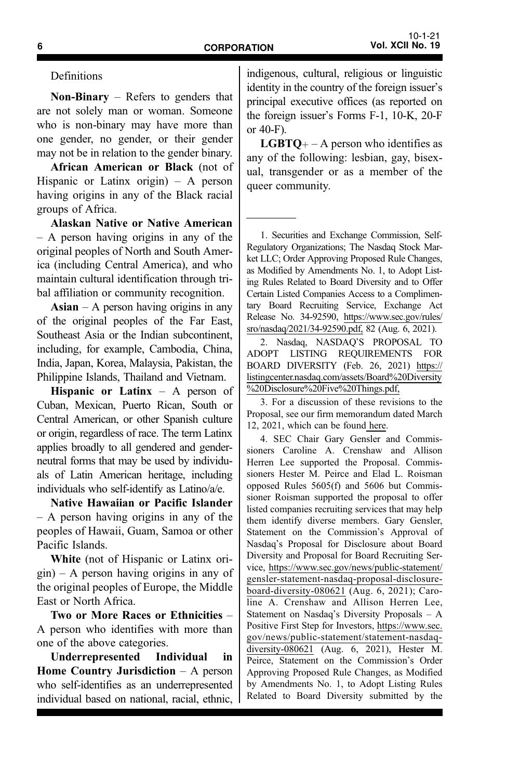Definitions

**Non-Binary** – Refers to genders that are not solely man or woman. Someone who is non-binary may have more than one gender, no gender, or their gender may not be in relation to the gender binary.

African American or Black (not of Hispanic or Latinx origin) – A person having origins in any of the Black racial groups of Africa.

Alaskan Native or Native American – A person having origins in any of the original peoples of North and South America (including Central America), and who maintain cultural identification through tribal affiliation or community recognition.

 $\text{Asian} - \text{A person having origins in any}$ of the original peoples of the Far East, Southeast Asia or the Indian subcontinent, including, for example, Cambodia, China, India, Japan, Korea, Malaysia, Pakistan, the Philippine Islands, Thailand and Vietnam.

Hispanic or Latinx  $-$  A person of Cuban, Mexican, Puerto Rican, South or Central American, or other Spanish culture or origin, regardless of race. The term Latinx applies broadly to all gendered and genderneutral forms that may be used by individuals of Latin American heritage, including individuals who self-identify as Latino/a/e.

Native Hawaiian or Pacific Islander – A person having origins in any of the peoples of Hawaii, Guam, Samoa or other Pacific Islands.

White (not of Hispanic or Latinx origin) – A person having origins in any of the original peoples of Europe, the Middle East or North Africa.

Two or More Races or Ethnicities – A person who identifies with more than one of the above categories.

Underrepresented Individual in Home Country Jurisdiction – A person who self-identifies as an underrepresented individual based on national, racial, ethnic, indigenous, cultural, religious or linguistic identity in the country of the foreign issuer's principal executive offices (as reported on the foreign issuer's Forms F-1, 10-K, 20-F or 40-F).

**LGBTQ**+ – A person who identifies as any of the following: lesbian, gay, bisexual, transgender or as a member of the queer community.

1. Securities and Exchange Commission, Self-Regulatory Organizations; The Nasdaq Stock Market LLC; Order Approving Proposed Rule Changes, as Modified by Amendments No. 1, to Adopt Listing Rules Related to Board Diversity and to Offer Certain Listed Companies Access to a Complimentary Board Recruiting Service, Exchange Act Release No. 34-92590, https://www.sec.gov/rules/ sro/nasdaq/2021/34-92590.pdf, 82 (Aug. 6, 2021).

2. Nasdaq, NASDAQ'S PROPOSAL TO ADOPT LISTING REQUIREMENTS FOR BOARD DIVERSITY (Feb. 26, 2021) https:// listingcenter.nasdaq.com/assets/Board%20Diversity %20Disclosure%20Five%20Things.pdf,

3. For a discussion of these revisions to the Proposal, see our firm memorandum dated March 12, 2021, which can be found here.

4. SEC Chair Gary Gensler and Commissioners Caroline A. Crenshaw and Allison Herren Lee supported the Proposal. Commissioners Hester M. Peirce and Elad L. Roisman opposed Rules 5605(f) and 5606 but Commissioner Roisman supported the proposal to offer listed companies recruiting services that may help them identify diverse members. Gary Gensler, Statement on the Commission's Approval of Nasdaq's Proposal for Disclosure about Board Diversity and Proposal for Board Recruiting Service, https://www.sec.gov/news/public-statement/ gensler-statement-nasdaq-proposal-disclosureboard-diversity-080621 (Aug. 6, 2021); Caroline A. Crenshaw and Allison Herren Lee, Statement on Nasdaq's Diversity Proposals – A Positive First Step for Investors, https://www.sec. gov/news/public-statement/statement-nasdaqdiversity-080621 (Aug. 6, 2021), Hester M. Peirce, Statement on the Commission's Order Approving Proposed Rule Changes, as Modified by Amendments No. 1, to Adopt Listing Rules Related to Board Diversity submitted by the